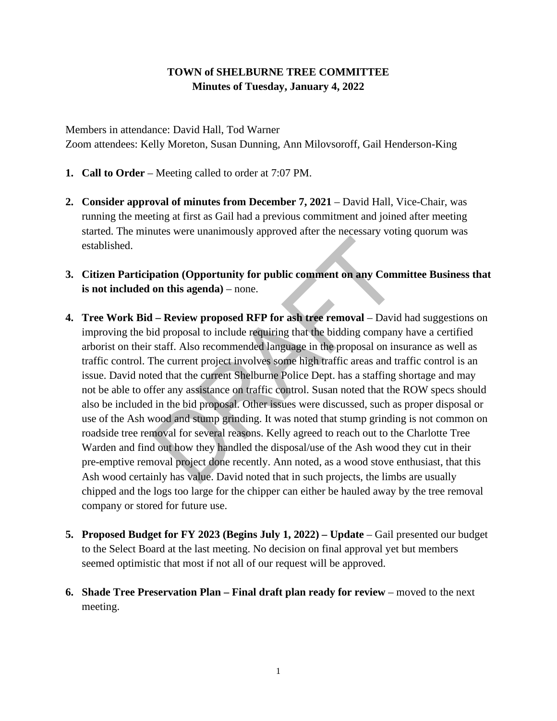## **TOWN of SHELBURNE TREE COMMITTEE Minutes of Tuesday, January 4, 2022**

Members in attendance: David Hall, Tod Warner Zoom attendees: Kelly Moreton, Susan Dunning, Ann Milovsoroff, Gail Henderson-King

- **1. Call to Order**  Meeting called to order at 7:07 PM.
- **2. Consider approval of minutes from December 7, 2021** David Hall, Vice-Chair, was running the meeting at first as Gail had a previous commitment and joined after meeting started. The minutes were unanimously approved after the necessary voting quorum was established.
- **3. Citizen Participation (Opportunity for public comment on any Committee Business that is not included on this agenda)** – none.
- **4. Tree Work Bid – Review proposed RFP for ash tree removal** David had suggestions on improving the bid proposal to include requiring that the bidding company have a certified arborist on their staff. Also recommended language in the proposal on insurance as well as traffic control. The current project involves some high traffic areas and traffic control is an issue. David noted that the current Shelburne Police Dept. has a staffing shortage and may not be able to offer any assistance on traffic control. Susan noted that the ROW specs should also be included in the bid proposal. Other issues were discussed, such as proper disposal or use of the Ash wood and stump grinding. It was noted that stump grinding is not common on roadside tree removal for several reasons. Kelly agreed to reach out to the Charlotte Tree Warden and find out how they handled the disposal/use of the Ash wood they cut in their pre-emptive removal project done recently. Ann noted, as a wood stove enthusiast, that this Ash wood certainly has value. David noted that in such projects, the limbs are usually chipped and the logs too large for the chipper can either be hauled away by the tree removal company or stored for future use.
- **5. Proposed Budget for FY 2023 (Begins July 1, 2022) – Update** Gail presented our budget to the Select Board at the last meeting. No decision on final approval yet but members seemed optimistic that most if not all of our request will be approved.
- **6. Shade Tree Preservation Plan – Final draft plan ready for review** moved to the next meeting.